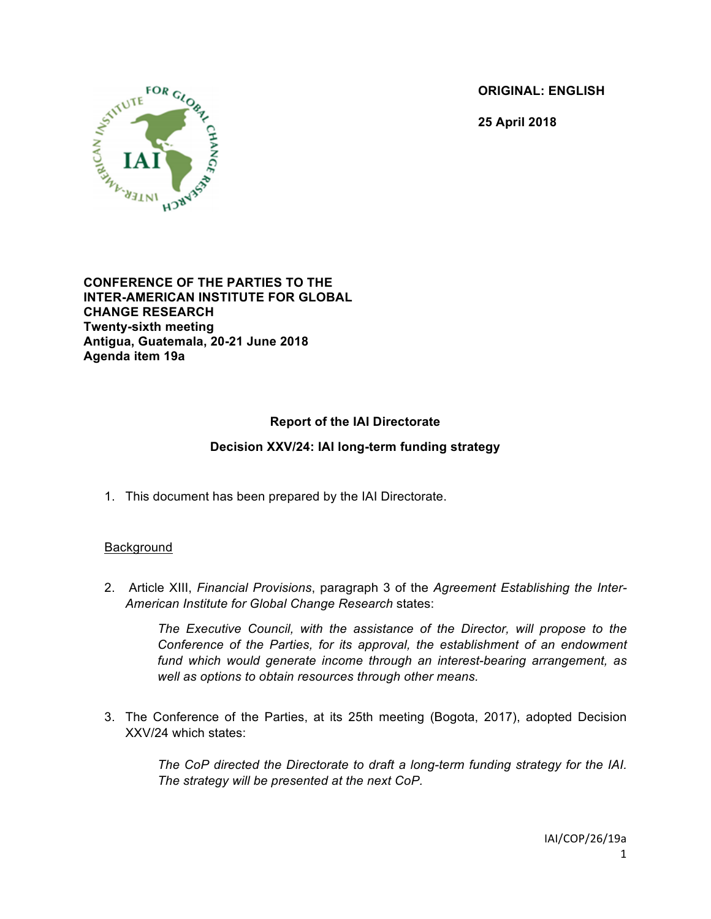**ORIGINAL: ENGLISH**

**25 April 2018**



**CONFERENCE OF THE PARTIES TO THE INTER-AMERICAN INSTITUTE FOR GLOBAL CHANGE RESEARCH Twenty-sixth meeting Antigua, Guatemala, 20-21 June 2018 Agenda item 19a**

# **Report of the IAI Directorate**

### **Decision XXV/24: IAI long-term funding strategy**

1. This document has been prepared by the IAI Directorate.

### Background

2. Article XIII, *Financial Provisions*, paragraph 3 of the *Agreement Establishing the Inter-American Institute for Global Change Research* states:

> *The Executive Council, with the assistance of the Director, will propose to the Conference of the Parties, for its approval, the establishment of an endowment fund which would generate income through an interest-bearing arrangement, as well as options to obtain resources through other means.*

3. The Conference of the Parties, at its 25th meeting (Bogota, 2017), adopted Decision XXV/24 which states:

> *The CoP directed the Directorate to draft a long-term funding strategy for the IAI. The strategy will be presented at the next CoP.*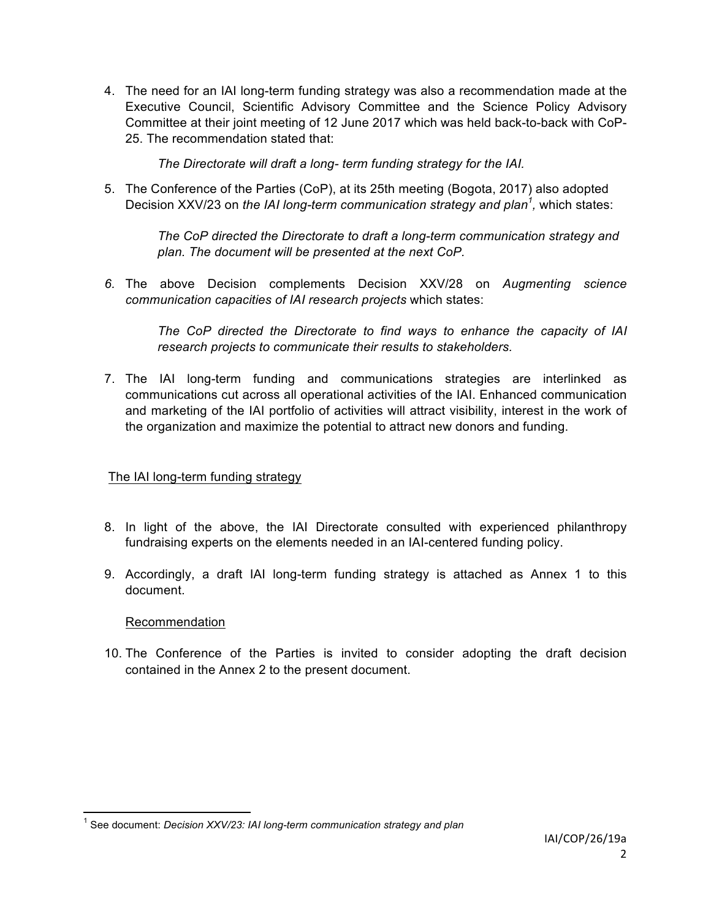4. The need for an IAI long-term funding strategy was also a recommendation made at the Executive Council, Scientific Advisory Committee and the Science Policy Advisory Committee at their joint meeting of 12 June 2017 which was held back-to-back with CoP-25. The recommendation stated that:

*The Directorate will draft a long- term funding strategy for the IAI.*

5. The Conference of the Parties (CoP), at its 25th meeting (Bogota, 2017) also adopted Decision XXV/23 on *the IAI long-term communication strategy and plan<sup>1</sup> ,* which states:

> *The CoP directed the Directorate to draft a long-term communication strategy and plan. The document will be presented at the next CoP.*

*6.* The above Decision complements Decision XXV/28 on *Augmenting science communication capacities of IAI research projects* which states:

*The CoP directed the Directorate to find ways to enhance the capacity of IAI research projects to communicate their results to stakeholders.*

7. The IAI long-term funding and communications strategies are interlinked as communications cut across all operational activities of the IAI. Enhanced communication and marketing of the IAI portfolio of activities will attract visibility, interest in the work of the organization and maximize the potential to attract new donors and funding.

# The IAI long-term funding strategy

- 8. In light of the above, the IAI Directorate consulted with experienced philanthropy fundraising experts on the elements needed in an IAI-centered funding policy.
- 9. Accordingly, a draft IAI long-term funding strategy is attached as Annex 1 to this document.

# Recommendation

10. The Conference of the Parties is invited to consider adopting the draft decision contained in the Annex 2 to the present document.

<sup>&</sup>lt;sup>1</sup> See document: *Decision XXV/23: IAI long-term communication strategy and plan*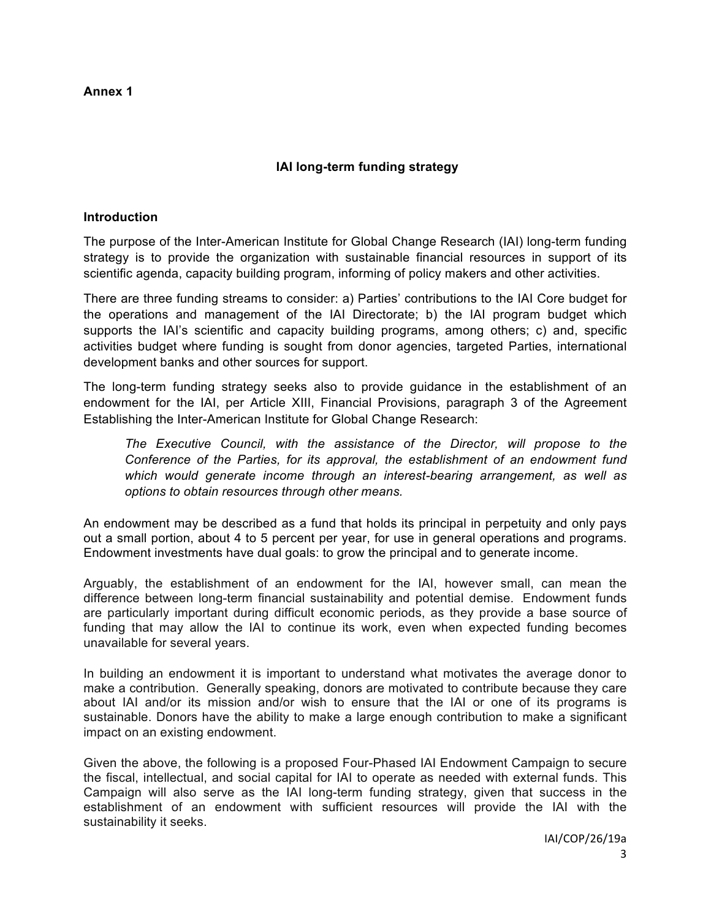**Annex 1**

## **IAI long-term funding strategy**

#### **Introduction**

The purpose of the Inter-American Institute for Global Change Research (IAI) long-term funding strategy is to provide the organization with sustainable financial resources in support of its scientific agenda, capacity building program, informing of policy makers and other activities.

There are three funding streams to consider: a) Parties' contributions to the IAI Core budget for the operations and management of the IAI Directorate; b) the IAI program budget which supports the IAI's scientific and capacity building programs, among others; c) and, specific activities budget where funding is sought from donor agencies, targeted Parties, international development banks and other sources for support.

The long-term funding strategy seeks also to provide guidance in the establishment of an endowment for the IAI, per Article XIII, Financial Provisions, paragraph 3 of the Agreement Establishing the Inter-American Institute for Global Change Research:

*The Executive Council, with the assistance of the Director, will propose to the Conference of the Parties, for its approval, the establishment of an endowment fund which would generate income through an interest-bearing arrangement, as well as options to obtain resources through other means.*

An endowment may be described as a fund that holds its principal in perpetuity and only pays out a small portion, about 4 to 5 percent per year, for use in general operations and programs. Endowment investments have dual goals: to grow the principal and to generate income.

Arguably, the establishment of an endowment for the IAI, however small, can mean the difference between long-term financial sustainability and potential demise. Endowment funds are particularly important during difficult economic periods, as they provide a base source of funding that may allow the IAI to continue its work, even when expected funding becomes unavailable for several years.

In building an endowment it is important to understand what motivates the average donor to make a contribution. Generally speaking, donors are motivated to contribute because they care about IAI and/or its mission and/or wish to ensure that the IAI or one of its programs is sustainable. Donors have the ability to make a large enough contribution to make a significant impact on an existing endowment.

Given the above, the following is a proposed Four-Phased IAI Endowment Campaign to secure the fiscal, intellectual, and social capital for IAI to operate as needed with external funds. This Campaign will also serve as the IAI long-term funding strategy, given that success in the establishment of an endowment with sufficient resources will provide the IAI with the sustainability it seeks.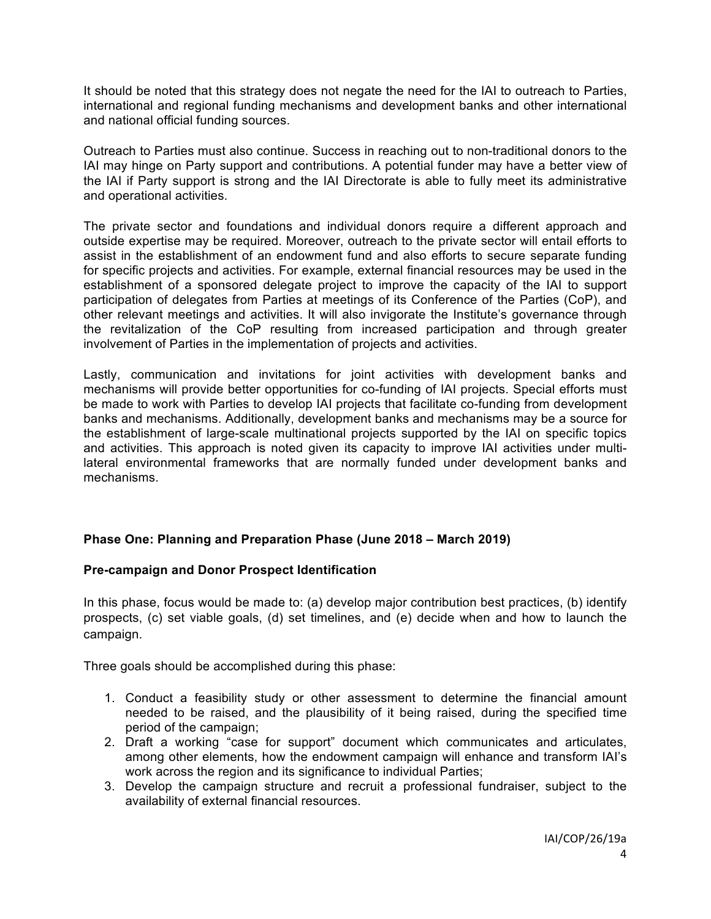It should be noted that this strategy does not negate the need for the IAI to outreach to Parties, international and regional funding mechanisms and development banks and other international and national official funding sources.

Outreach to Parties must also continue. Success in reaching out to non-traditional donors to the IAI may hinge on Party support and contributions. A potential funder may have a better view of the IAI if Party support is strong and the IAI Directorate is able to fully meet its administrative and operational activities.

The private sector and foundations and individual donors require a different approach and outside expertise may be required. Moreover, outreach to the private sector will entail efforts to assist in the establishment of an endowment fund and also efforts to secure separate funding for specific projects and activities. For example, external financial resources may be used in the establishment of a sponsored delegate project to improve the capacity of the IAI to support participation of delegates from Parties at meetings of its Conference of the Parties (CoP), and other relevant meetings and activities. It will also invigorate the Institute's governance through the revitalization of the CoP resulting from increased participation and through greater involvement of Parties in the implementation of projects and activities.

Lastly, communication and invitations for joint activities with development banks and mechanisms will provide better opportunities for co-funding of IAI projects. Special efforts must be made to work with Parties to develop IAI projects that facilitate co-funding from development banks and mechanisms. Additionally, development banks and mechanisms may be a source for the establishment of large-scale multinational projects supported by the IAI on specific topics and activities. This approach is noted given its capacity to improve IAI activities under multilateral environmental frameworks that are normally funded under development banks and mechanisms.

# **Phase One: Planning and Preparation Phase (June 2018 – March 2019)**

### **Pre-campaign and Donor Prospect Identification**

In this phase, focus would be made to: (a) develop major contribution best practices, (b) identify prospects, (c) set viable goals, (d) set timelines, and (e) decide when and how to launch the campaign.

Three goals should be accomplished during this phase:

- 1. Conduct a feasibility study or other assessment to determine the financial amount needed to be raised, and the plausibility of it being raised, during the specified time period of the campaign;
- 2. Draft a working "case for support" document which communicates and articulates, among other elements, how the endowment campaign will enhance and transform IAI's work across the region and its significance to individual Parties;
- 3. Develop the campaign structure and recruit a professional fundraiser, subject to the availability of external financial resources.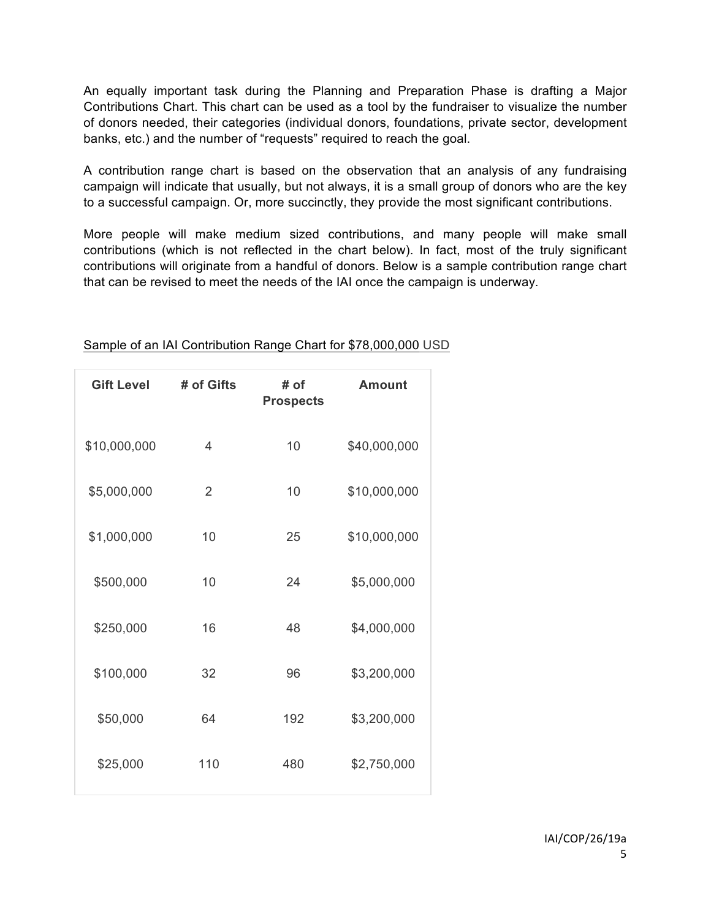An equally important task during the Planning and Preparation Phase is drafting a Major Contributions Chart. This chart can be used as a tool by the fundraiser to visualize the number of donors needed, their categories (individual donors, foundations, private sector, development banks, etc.) and the number of "requests" required to reach the goal.

A contribution range chart is based on the observation that an analysis of any fundraising campaign will indicate that usually, but not always, it is a small group of donors who are the key to a successful campaign. Or, more succinctly, they provide the most significant contributions.

More people will make medium sized contributions, and many people will make small contributions (which is not reflected in the chart below). In fact, most of the truly significant contributions will originate from a handful of donors. Below is a sample contribution range chart that can be revised to meet the needs of the IAI once the campaign is underway.

| <b>Gift Level</b> | # of Gifts     | # of<br><b>Prospects</b> | <b>Amount</b> |
|-------------------|----------------|--------------------------|---------------|
| \$10,000,000      | $\overline{4}$ | 10                       | \$40,000,000  |
| \$5,000,000       | $\overline{2}$ | 10                       | \$10,000,000  |
| \$1,000,000       | 10             | 25                       | \$10,000,000  |
| \$500,000         | 10             | 24                       | \$5,000,000   |
| \$250,000         | 16             | 48                       | \$4,000,000   |
| \$100,000         | 32             | 96                       | \$3,200,000   |
| \$50,000          | 64             | 192                      | \$3,200,000   |
| \$25,000          | 110            | 480                      | \$2,750,000   |

### Sample of an IAI Contribution Range Chart for \$78,000,000 USD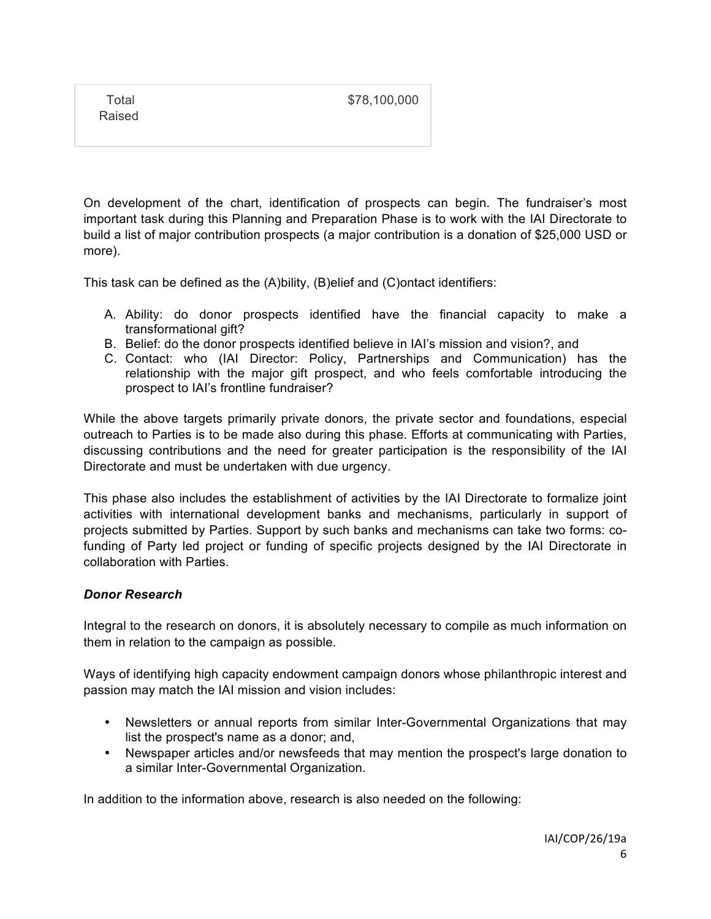Total Raised \$78,100,000

On development of the chart, identification of prospects can begin. The fundraiser's most important task during this Planning and Preparation Phase is to work with the IAI Directorate to build a list of major contribution prospects (a major contribution is a donation of \$25,000 USD or more).

This task can be defined as the (A)bility, (B)elief and (C)ontact identifiers:

- A. Ability: do donor prospects identified have the financial capacity to make a transformational gift?
- B. Belief: do the donor prospects identified believe in IAI's mission and vision?, and
- C. Contact: who (IAI Director: Policy, Partnerships and Communication) has the relationship with the major gift prospect, and who feels comfortable introducing the prospect to IAI's frontline fundraiser?

While the above targets primarily private donors, the private sector and foundations, especial outreach to Parties is to be made also during this phase. Efforts at communicating with Parties, discussing contributions and the need for greater participation is the responsibility of the IAI Directorate and must be undertaken with due urgency.

This phase also includes the establishment of activities by the IAI Directorate to formalize joint activities with international development banks and mechanisms, particularly in support of projects submitted by Parties. Support by such banks and mechanisms can take two forms: cofunding of Party led project or funding of specific projects designed by the IAI Directorate in collaboration with Parties.

# *Donor Research*

Integral to the research on donors, it is absolutely necessary to compile as much information on them in relation to the campaign as possible.

Ways of identifying high capacity endowment campaign donors whose philanthropic interest and passion may match the IAI mission and vision includes:

- Newsletters or annual reports from similar Inter-Governmental Organizations that may list the prospect's name as a donor; and,
- Newspaper articles and/or newsfeeds that may mention the prospect's large donation to a similar Inter-Governmental Organization.

In addition to the information above, research is also needed on the following: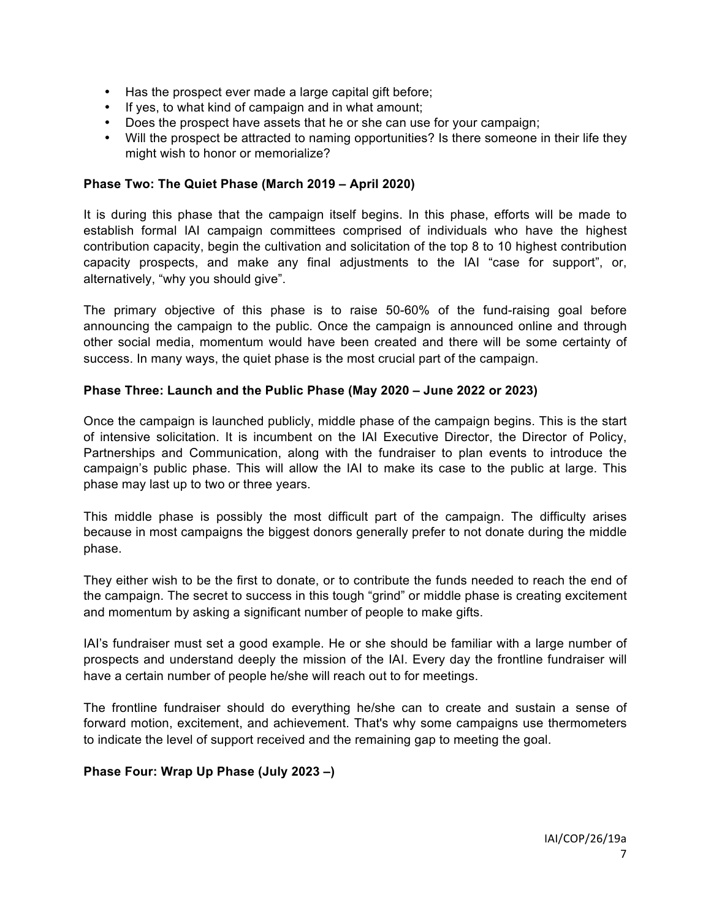- Has the prospect ever made a large capital gift before;
- If yes, to what kind of campaign and in what amount;
- Does the prospect have assets that he or she can use for your campaign;
- Will the prospect be attracted to naming opportunities? Is there someone in their life they might wish to honor or memorialize?

#### **Phase Two: The Quiet Phase (March 2019 – April 2020)**

It is during this phase that the campaign itself begins. In this phase, efforts will be made to establish formal IAI campaign committees comprised of individuals who have the highest contribution capacity, begin the cultivation and solicitation of the top 8 to 10 highest contribution capacity prospects, and make any final adjustments to the IAI "case for support", or, alternatively, "why you should give".

The primary objective of this phase is to raise 50-60% of the fund-raising goal before announcing the campaign to the public. Once the campaign is announced online and through other social media, momentum would have been created and there will be some certainty of success. In many ways, the quiet phase is the most crucial part of the campaign.

#### **Phase Three: Launch and the Public Phase (May 2020 – June 2022 or 2023)**

Once the campaign is launched publicly, middle phase of the campaign begins. This is the start of intensive solicitation. It is incumbent on the IAI Executive Director, the Director of Policy, Partnerships and Communication, along with the fundraiser to plan events to introduce the campaign's public phase. This will allow the IAI to make its case to the public at large. This phase may last up to two or three years.

This middle phase is possibly the most difficult part of the campaign. The difficulty arises because in most campaigns the biggest donors generally prefer to not donate during the middle phase.

They either wish to be the first to donate, or to contribute the funds needed to reach the end of the campaign. The secret to success in this tough "grind" or middle phase is creating excitement and momentum by asking a significant number of people to make gifts.

IAI's fundraiser must set a good example. He or she should be familiar with a large number of prospects and understand deeply the mission of the IAI. Every day the frontline fundraiser will have a certain number of people he/she will reach out to for meetings.

The frontline fundraiser should do everything he/she can to create and sustain a sense of forward motion, excitement, and achievement. That's why some campaigns use thermometers to indicate the level of support received and the remaining gap to meeting the goal.

### **Phase Four: Wrap Up Phase (July 2023 –)**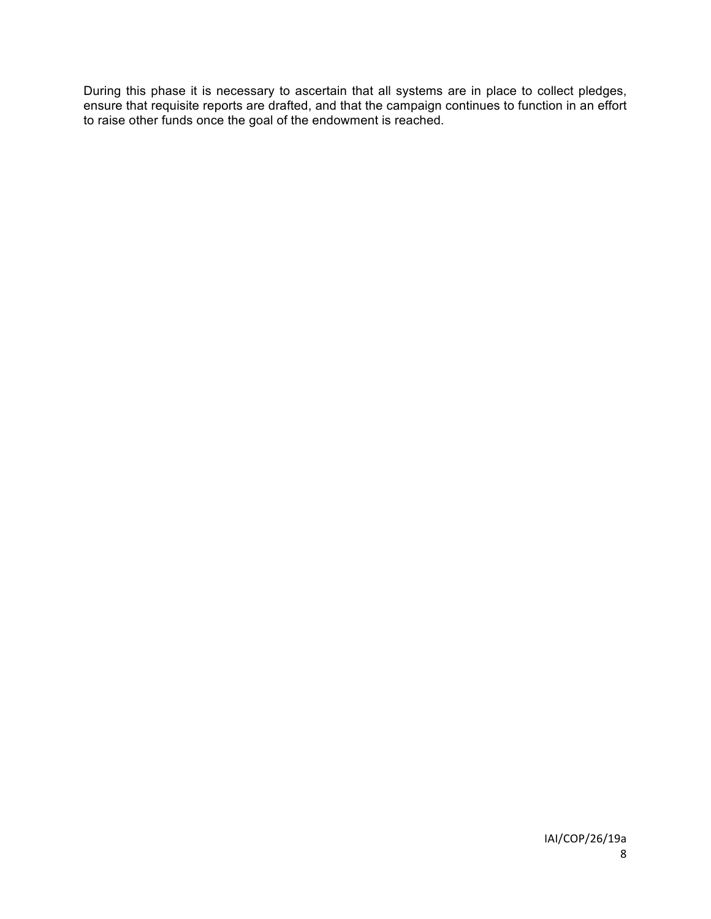During this phase it is necessary to ascertain that all systems are in place to collect pledges, ensure that requisite reports are drafted, and that the campaign continues to function in an effort to raise other funds once the goal of the endowment is reached.